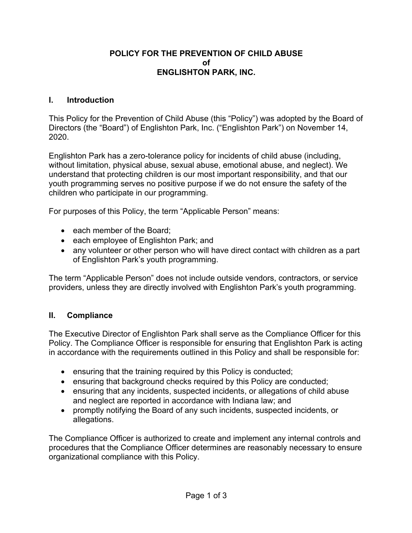#### **POLICY FOR THE PREVENTION OF CHILD ABUSE of ENGLISHTON PARK, INC.**

#### **I. Introduction**

This Policy for the Prevention of Child Abuse (this "Policy") was adopted by the Board of Directors (the "Board") of Englishton Park, Inc. ("Englishton Park") on November 14, 2020.

Englishton Park has a zero-tolerance policy for incidents of child abuse (including, without limitation, physical abuse, sexual abuse, emotional abuse, and neglect). We understand that protecting children is our most important responsibility, and that our youth programming serves no positive purpose if we do not ensure the safety of the children who participate in our programming.

For purposes of this Policy, the term "Applicable Person" means:

- each member of the Board;
- each employee of Englishton Park; and
- any volunteer or other person who will have direct contact with children as a part of Englishton Park's youth programming.

The term "Applicable Person" does not include outside vendors, contractors, or service providers, unless they are directly involved with Englishton Park's youth programming.

### **II. Compliance**

The Executive Director of Englishton Park shall serve as the Compliance Officer for this Policy. The Compliance Officer is responsible for ensuring that Englishton Park is acting in accordance with the requirements outlined in this Policy and shall be responsible for:

- ensuring that the training required by this Policy is conducted;
- ensuring that background checks required by this Policy are conducted;
- ensuring that any incidents, suspected incidents, or allegations of child abuse and neglect are reported in accordance with Indiana law; and
- promptly notifying the Board of any such incidents, suspected incidents, or allegations.

The Compliance Officer is authorized to create and implement any internal controls and procedures that the Compliance Officer determines are reasonably necessary to ensure organizational compliance with this Policy.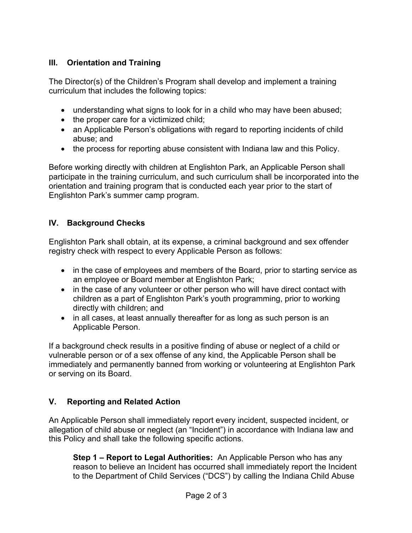# **III. Orientation and Training**

The Director(s) of the Children's Program shall develop and implement a training curriculum that includes the following topics:

- understanding what signs to look for in a child who may have been abused;
- the proper care for a victimized child;
- an Applicable Person's obligations with regard to reporting incidents of child abuse; and
- the process for reporting abuse consistent with Indiana law and this Policy.

Before working directly with children at Englishton Park, an Applicable Person shall participate in the training curriculum, and such curriculum shall be incorporated into the orientation and training program that is conducted each year prior to the start of Englishton Park's summer camp program.

## **IV. Background Checks**

Englishton Park shall obtain, at its expense, a criminal background and sex offender registry check with respect to every Applicable Person as follows:

- in the case of employees and members of the Board, prior to starting service as an employee or Board member at Englishton Park;
- in the case of any volunteer or other person who will have direct contact with children as a part of Englishton Park's youth programming, prior to working directly with children; and
- in all cases, at least annually thereafter for as long as such person is an Applicable Person.

If a background check results in a positive finding of abuse or neglect of a child or vulnerable person or of a sex offense of any kind, the Applicable Person shall be immediately and permanently banned from working or volunteering at Englishton Park or serving on its Board.

# **V. Reporting and Related Action**

An Applicable Person shall immediately report every incident, suspected incident, or allegation of child abuse or neglect (an "Incident") in accordance with Indiana law and this Policy and shall take the following specific actions.

**Step 1 – Report to Legal Authorities:** An Applicable Person who has any reason to believe an Incident has occurred shall immediately report the Incident to the Department of Child Services ("DCS") by calling the Indiana Child Abuse